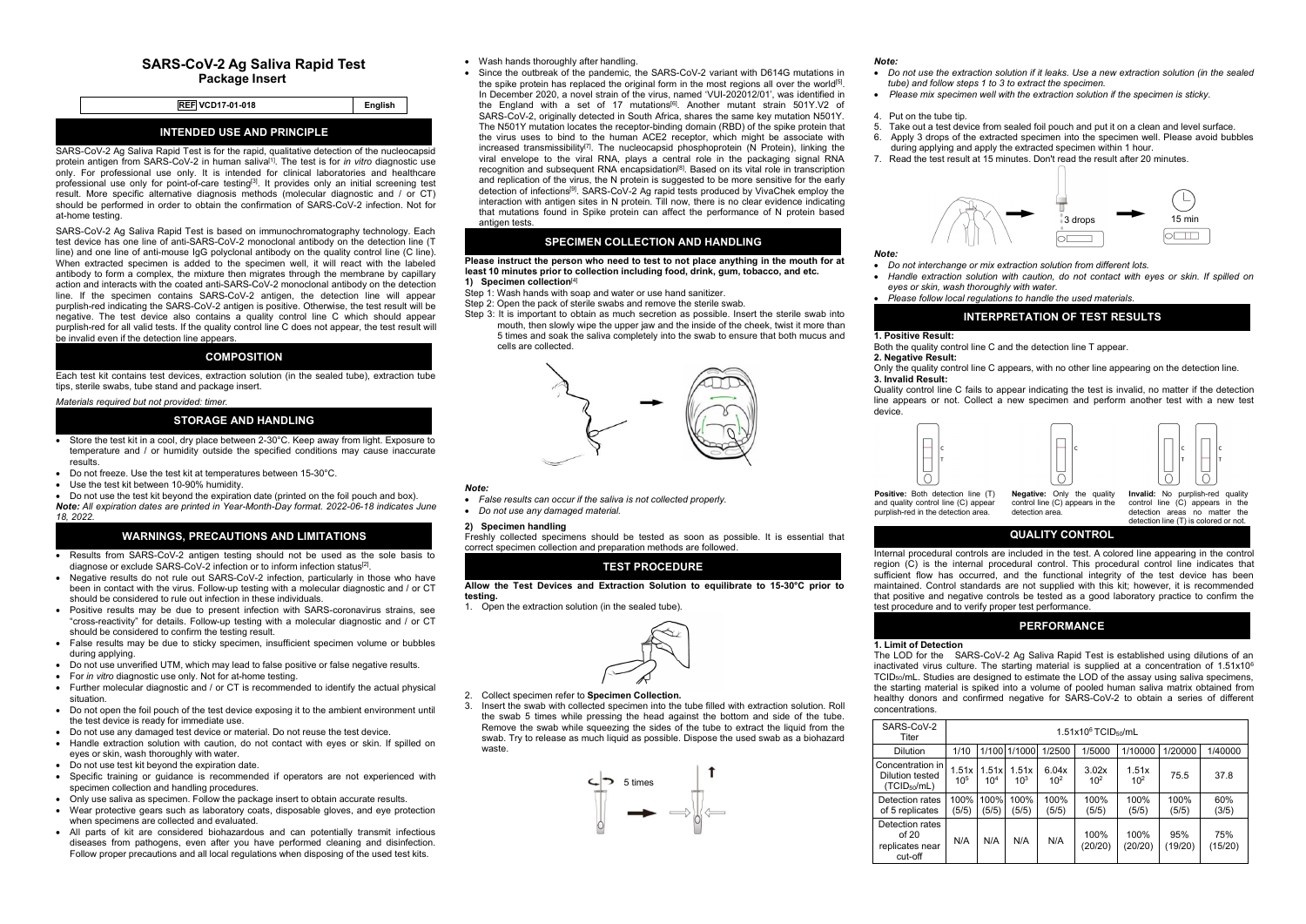# **SARS-CoV-2 Ag Saliva Rapid Test Package Insert**

|                         |         | .   |
|-------------------------|---------|-----|
| <b>REF VCD17-01-018</b> | Enalish | the |
|                         |         |     |

# **INTENDED USE AND PRINCIPLE**

SARS-CoV-2 Ag Saliva Rapid Test is for the rapid, qualitative detection of the nucleocapsid protein antigen from SARS-CoV-2 in human saliva [1]. The test is for *in vitro* diagnostic use only. For professional use only. It is intended for clinical laboratories and healthcare professional use only for point-of-care testing<sup>[3]</sup>. It provides only an initial screening test and the discrib result. More specific alternative diagnosis methods (molecular diagnostic and / or CT) should be performed in order to obtain the confirmation of SARS-CoV-2 infection. Not for at-home testing.

SARS-CoV-2 Ag Saliva Rapid Testis based on immunochromatography technology. Each test device has one line of anti-SARS-CoV-2 monoclonal antibody on the detection line (T line) and one line of anti-mouse IgG polyclonal antibody on the quality control line (C line). When extracted specimen is added to the specimen well, it will react with the labeled antibody to form a complex, the mixture then migrates through the membrane by capillary action and interacts with the coated anti-SARS-CoV-2 monoclonal antibody on the detection line. If the specimen contains SARS-CoV-2 antigen, the detection line will appear purplish-red indicating the SARS-CoV-2 antigen is positive. Otherwise, the test result will be negative. The test device also contains a quality control line C which should appear purplish-red for all valid tests. If the quality control line C does not appear, the test result will be invalid even if the detection line appears.

#### **COMPOSITION**

Each test kit contains test devices, extraction solution (in the sealed tube), extraction tube tips, sterile swabs, tube stand and package insert.

*Materials required but not provided: timer.*

# **STORAGE AND HANDLING**

- Store the test kit in a cool, dry place between 2-30°C. Keep away from light. Exposure to temperature and / or humidity outside the specified conditions may cause inaccurate results.
- Do not freeze. Use the test kit at temperatures between 15-30°C.
- Use the test kit between 10-90% humidity.

• Do not use the test kit beyond the expiration date (printed on the foil pouch and box). *Note: All expiration dates are printed in Year-Month-Day format. 2022-06-18 indicates June 18, 2022.*

### **WARNINGS, PRECAUTIONS AND LIMITATIONS**

- Results from SARS-CoV-2 antigen testing should not be used as the sole basis to diagnose or exclude SARS-CoV-2 infection or to inform infection status
- diagnose or exclude SARS-CoV-2 infection or to inform infection status<sup>[2]</sup>.<br>• Negative results do not rule out SARS-CoV-2 infection, particularly in those who have been in contact with the virus. Follow-up testing with a molecular diagnostic and / or CT should be considered to rule out infection in these individuals.
- Positive results may be due to present infection with SARS-coronavirus strains, see "cross-reactivity" for details. Follow-up testing with a molecular diagnostic and / or CT should be considered to confirm the testing result.
- False results may be due to sticky specimen, insufficient specimen volume or bubbles during applying.
- Do not use unverified UTM, which may lead to false positive or false negative results.
- For *in vitro* diagnostic use only.Not for at-home testing.
- Further molecular diagnostic and / or CT is recommended to identify the actual physical situation.
- Do not open the foil pouch of the test device exposing it to the ambient environment until the test device is ready for immediate use.
- Do not use any damaged test device or material. Do not reuse the test device.
- Handle extraction solution with caution, do not contact with eyes or skin. If spilled on eyes or skin, wash thoroughly with water.
- Do not use test kit beyond the expiration date.
- Specific training or guidance is recommended if operators are not experienced with specimen collection and handling procedures.
- Only use saliva as specimen. Follow the package insert to obtain accurate results.
- Wear protective gears such as laboratory coats, disposable gloves, and eye protection when specimens are collected and evaluated.
- All parts of kit are considered biohazardous and can potentially transmit infectious diseases from pathogens, even after you have performed cleaning and disinfection. Follow proper precautions and all local regulations when disposing of the used test kits.
- Wash hands thoroughly after handling.
- Since the outbreak of the pandemic, the SARS-CoV-2 variant with D614G mutations in the spike protein has replaced the original form in the most regions all over the world<sup>[5]</sup>. In December 2020, a novel strain of the virus, named 'VUI-202012/01', was identified in the England with a set of 17 mutations [6]. Another mutant strain 501Y.V2 of SARS-CoV-2, originally detected in South Africa, shares the same key mutation N501Y. The N501Y mutation locates the receptor-binding domain (RBD) of the spike protein that the virus uses to bind to the human ACE2 receptor, which might be associate with  $\frac{1}{2}$  increased transmissibility $^{(1)}$ . The nucleocapsid phosphoprotein (N Protein), linking the during applyi viral envelope to the viral RNA, plays a central role in the packaging signal RNA recognition and subsequent RNA encapsidation<sup>[8]</sup>. Based on its vital role in transcription and replication of the virus, the N protein is suggested to be more sensitive for the early detection of infections [9]. SARS-CoV-2 Ag rapid tests produced by VivaChek employ the interaction with antigen sites in N protein. Tillnow, there isno clear evidence indicating that mutations found in Spike protein can affect the performance of N protein based antigen tests.

# **SPECIMEN COLLECTION AND HANDLING**

#### **Please instruct the person who need to test to not place anything in the mouth for at least 10 minutes prior to collection including food, drink, gum, tobacco, and etc. 1) Specimen collection** [4]

- Step 1: Wash hands with soap and water or use hand sanitizer.
- Step 2: Open the pack of sterile swabs and remove the sterile swab.
- Step 3: It is important to obtain as much secretion as possible. Insert the sterile swab into mouth, then slowly wipe the upper jaw and the inside of the cheek, twist it more than 5 times and soak the saliva completely into the swab to ensure thatboth mucus and cells are collected.



- *Note: False results can occur if the saliva isnot collected properly.*
- *Do not use any damaged material.*

### **2) Specimen handling**

Freshly collected specimens should be tested as soon as possible. It is essential that correct specimen collection and preparation methods are followed.

# **TEST PROCEDURE**

**Allow the Test Devices and Extraction Solution to equilibrate to 15-30°C prior to testing.**

1. Open the extraction solution (in the sealed tube).



#### 2. Collect specimen refer to **Specimen Collection.**

3. Insert the swab with collected specimen into the tube filled with extraction solution. Roll the swab 5 times while pressing the head against the bottom and side of the tube. Remove the swab while squeezing the sides of the tube to extract the liquid from the swab. Try to release as much liquid as possible.Dispose the used swab as a biohazard waste.



- [5] *tu Note: Do not use the extraction solution if itleaks. Use a new extraction solution (in the sealed tube) and follow steps 1 to 3 to extract the specimen.*
	- *Please mix specimen well with the extraction solution if the specimen is sticky.*

#### 4. Put on the tube tip.

- 5. Take out a test device from sealed foil pouch and put it on a clean and level surface. 6. Apply 3 drops of the extracted specimen into the specimen well. Please avoid bubbles during applying and apply the extracted specimen within 1 hour.
- 7. Read the test result at 15 minutes. Don't read the result after 20 minutes.



*Note:*

- *Do not interchange or mix extraction solution from different lots.*
- *Handle extraction solution with caution, do not contact with eyes or skin. If spilled on eyes or skin, wash thoroughly with water.*
- *Please follow local regulations to handle the used materials.*

# **INTERPRETATION OF TEST RESULTS**

## **1. Positive Result:**

Both the quality control line C and the detection line T appear.

### **2. Negative Result:**

Only the quality control line C appears, with no other line appearing on the detection line. **3. Invalid Result:**

Quality control line C fails to appear indicating the test is invalid, no matter if the detection line appears or not. Collect a new specimen and perform another test with a new test device.



and quality control line (C) appear<br>nurplish-red in the detection area. purplish-red in the detection area. **Negative:** Only the quality **Invalid:** No purplish-red quality detection area.

control line (C) appears in the  $control$  line  $(C)$  appears in the detection areas no matter the

detection line (T) is colored or not.

# **QUALITY CONTROL**

Internal procedural controls are included in the test. A colored line appearing in the control region (C) is the internal procedural control. This procedural control line indicates that sufficient flow has occurred, and the functional integrity of the test device has been maintained. Control standards are not supplied with this kit: however, it is recommended that positive and negative controls be tested as a good laboratory practice to confirm the test procedure and to verify proper test performance

# **PERFORMANCE**

## **1. Limit of Detection**

The LOD for the SARS-CoV-2 Ag Saliva Rapid Test is established using dilutions of an inactivated virus culture. The starting material is supplied at a concentration of  $1.51x10<sup>6</sup>$ 6  $TCID<sub>50</sub>/mL$ . Studies are designed to estimate the LOD of the assay using saliva specimens, the starting material is spiked into a volume of pooled human saliva matrix obtained from healthy donors and confirmed negative for SARS-CoV-2 to obtain a series of different concentrations.

| SARS-CoV-2<br>Titer                                             | 1.51x10 <sup>6</sup> TCID <sub>50</sub> /mL |                          |                   |                          |                          |                          |                |                |
|-----------------------------------------------------------------|---------------------------------------------|--------------------------|-------------------|--------------------------|--------------------------|--------------------------|----------------|----------------|
| <b>Dilution</b>                                                 | 1/10                                        |                          | 1/100 1/1000      | 1/2500                   | 1/5000                   | 1/10000                  | 1/20000        | 1/40000        |
| Concentration in<br>Dilution tested<br>(TCID <sub>50</sub> /mL) | 1.51x<br>10 <sup>5</sup>                    | 1.51x<br>10 <sup>4</sup> | 1.51x<br>$10^{3}$ | 6.04x<br>10 <sup>2</sup> | 3.02x<br>10 <sup>2</sup> | 1.51x<br>10 <sup>2</sup> | 75.5           | 37.8           |
| Detection rates<br>of 5 replicates                              | 100%<br>(5/5)                               | 100%<br>(5/5)            | 100%<br>(5/5)     | 100%<br>(5/5)            | 100%<br>(5/5)            | 100%<br>(5/5)            | 100%<br>(5/5)  | 60%<br>(3/5)   |
| Detection rates<br>of 20<br>replicates near<br>cut-off          | N/A                                         | N/A                      | N/A               | N/A                      | 100%<br>(20/20)          | 100%<br>(20/20)          | 95%<br>(19/20) | 75%<br>(15/20) |